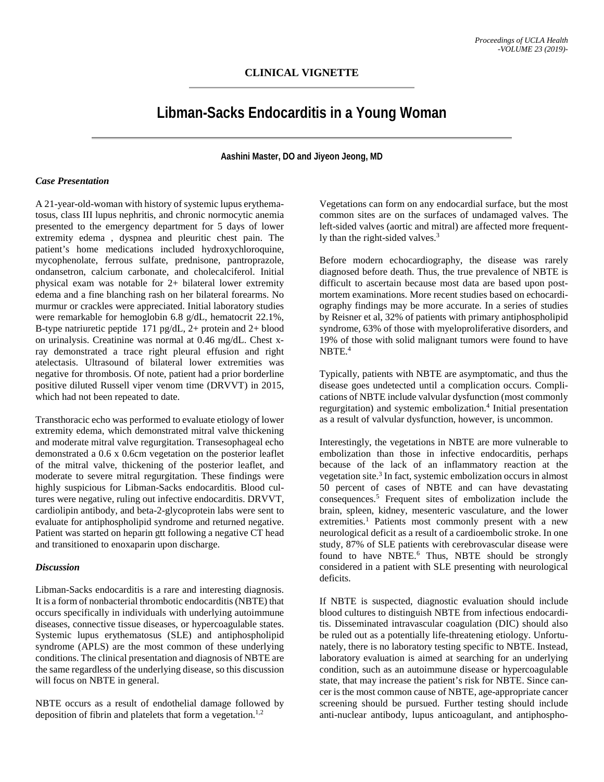## **Libman-Sacks Endocarditis in a Young Woman**

**Aashini Master, DO and Jiyeon Jeong, MD**

## *Case Presentation*

A 21-year-old-woman with history of systemic lupus erythematosus, class III lupus nephritis, and chronic normocytic anemia presented to the emergency department for 5 days of lower extremity edema , dyspnea and pleuritic chest pain. The patient's home medications included hydroxychloroquine, mycophenolate, ferrous sulfate, prednisone, pantroprazole, ondansetron, calcium carbonate, and cholecalciferol. Initial physical exam was notable for 2+ bilateral lower extremity edema and a fine blanching rash on her bilateral forearms. No murmur or crackles were appreciated. Initial laboratory studies were remarkable for hemoglobin 6.8 g/dL, hematocrit 22.1%, B-type natriuretic peptide 171 pg/dL, 2+ protein and 2+ blood on urinalysis. Creatinine was normal at 0.46 mg/dL. Chest xray demonstrated a trace right pleural effusion and right atelectasis. Ultrasound of bilateral lower extremities was negative for thrombosis. Of note, patient had a prior borderline positive diluted Russell viper venom time (DRVVT) in 2015, which had not been repeated to date.

Transthoracic echo was performed to evaluate etiology of lower extremity edema, which demonstrated mitral valve thickening and moderate mitral valve regurgitation. Transesophageal echo demonstrated a 0.6 x 0.6cm vegetation on the posterior leaflet of the mitral valve, thickening of the posterior leaflet, and moderate to severe mitral regurgitation. These findings were highly suspicious for Libman-Sacks endocarditis. Blood cultures were negative, ruling out infective endocarditis. DRVVT, cardiolipin antibody, and beta-2-glycoprotein labs were sent to evaluate for antiphospholipid syndrome and returned negative. Patient was started on heparin gtt following a negative CT head and transitioned to enoxaparin upon discharge.

## *Discussion*

Libman-Sacks endocarditis is a rare and interesting diagnosis. It is a form of nonbacterial thrombotic endocarditis (NBTE) that occurs specifically in individuals with underlying autoimmune diseases, connective tissue diseases, or hypercoagulable states. Systemic lupus erythematosus (SLE) and antiphospholipid syndrome (APLS) are the most common of these underlying conditions. The clinical presentation and diagnosis of NBTE are the same regardless of the underlying disease, so this discussion will focus on NBTE in general.

NBTE occurs as a result of endothelial damage followed by deposition of fibrin and platelets that form a vegetation.<sup>1,2</sup>

Vegetations can form on any endocardial surface, but the most common sites are on the surfaces of undamaged valves. The left-sided valves (aortic and mitral) are affected more frequently than the right-sided valves. 3

Before modern echocardiography, the disease was rarely diagnosed before death. Thus, the true prevalence of NBTE is difficult to ascertain because most data are based upon postmortem examinations. More recent studies based on echocardiography findings may be more accurate. In a series of studies by Reisner et al, 32% of patients with primary antiphospholipid syndrome, 63% of those with myeloproliferative disorders, and 19% of those with solid malignant tumors were found to have NBTE. 4

Typically, patients with NBTE are asymptomatic, and thus the disease goes undetected until a complication occurs. Complications of NBTE include valvular dysfunction (most commonly regurgitation) and systemic embolization.<sup>4</sup> Initial presentation as a result of valvular dysfunction, however, is uncommon.

Interestingly, the vegetations in NBTE are more vulnerable to embolization than those in infective endocarditis, perhaps because of the lack of an inflammatory reaction at the vegetation site. <sup>3</sup> In fact, systemic embolization occurs in almost 50 percent of cases of NBTE and can have devastating consequences. <sup>5</sup> Frequent sites of embolization include the brain, spleen, kidney, mesenteric vasculature, and the lower extremities.<sup>1</sup> Patients most commonly present with a new neurological deficit as a result of a cardioembolic stroke. In one study, 87% of SLE patients with cerebrovascular disease were found to have NBTE.<sup>6</sup> Thus, NBTE should be strongly considered in a patient with SLE presenting with neurological deficits.

If NBTE is suspected, diagnostic evaluation should include blood cultures to distinguish NBTE from infectious endocarditis. Disseminated intravascular coagulation (DIC) should also be ruled out as a potentially life-threatening etiology. Unfortunately, there is no laboratory testing specific to NBTE. Instead, laboratory evaluation is aimed at searching for an underlying condition, such as an autoimmune disease or hypercoagulable state, that may increase the patient's risk for NBTE. Since cancer is the most common cause of NBTE, age-appropriate cancer screening should be pursued. Further testing should include anti-nuclear antibody, lupus anticoagulant, and antiphospho